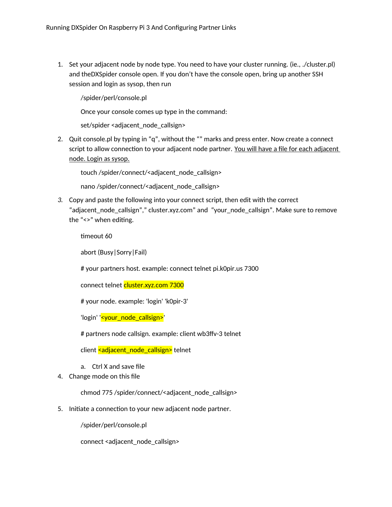1. Set your adjacent node by node type. You need to have your cluster running. (ie., ./cluster.pl) and theDXSpider console open. If you don't have the console open, bring up another SSH session and login as sysop, then run

/spider/perl/console.pl

Once your console comes up type in the command:

set/spider <adjacent\_node\_callsign>

2. Quit console.pl by typing in "q", without the "" marks and press enter. Now create a connect script to allow connection to your adjacent node partner. You will have a file for each adjacent node. Login as sysop.

touch /spider/connect/<adjacent\_node\_callsign>

nano /spider/connect/<adjacent\_node\_callsign>

*3.* Copy and paste the following into your connect script, then edit with the correct "adjacent\_node\_callsign"," cluster.xyz.com" and "your\_node\_callsign". Make sure to remove the "<>" when editing.

timeout 60

abort (Busy|Sorry|Fail)

# your partners host. example: connect telnet pi.k0pir.us 7300

connect telnet cluster.xyz.com 7300

# your node. example: 'login' 'k0pir-3'

'login' '<your\_node\_callsign>'

# partners node callsign. example: client wb3ffv-3 telnet

client <adjacent\_node\_callsign> telnet

- a. Ctrl X and save file
- 4. Change mode on this file

chmod 775 /spider/connect/<adjacent\_node\_callsign>

5. Initiate a connection to your new adjacent node partner.

/spider/perl/console.pl

connect <adjacent\_node\_callsign>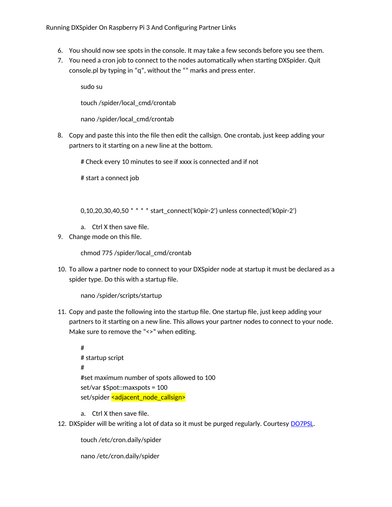- 6. You should now see spots in the console. It may take a few seconds before you see them.
- 7. You need a cron job to connect to the nodes automatically when starting DXSpider. Quit console.pl by typing in "q", without the "" marks and press enter.

sudo su touch /spider/local\_cmd/crontab

nano /spider/local\_cmd/crontab

8. Copy and paste this into the file then edit the callsign. One crontab, just keep adding your partners to it starting on a new line at the bottom.

# Check every 10 minutes to see if xxxx is connected and if not

# start a connect job

0,10,20,30,40,50 \* \* \* \* start\_connect('k0pir-2') unless connected('k0pir-2')

- a. Ctrl X then save file.
- 9. Change mode on this file.

chmod 775 /spider/local\_cmd/crontab

10. To allow a partner node to connect to your DXSpider node at startup it must be declared as a spider type. Do this with a startup file.

nano /spider/scripts/startup

11. Copy and paste the following into the startup file. One startup file, just keep adding your partners to it starting on a new line. This allows your partner nodes to connect to your node. Make sure to remove the "<>" when editing.

# # startup script # #set maximum number of spots allowed to 100 set/var \$Spot::maxspots = 100 set/spider <adjacent\_node\_callsign>

a. Ctrl X then save file.

12. DXSpider will be writing a lot of data so it must be purged regularly. Courtesy [DO7PSL.](http://do7psl.de/installation-of-dxspider-on-a-raspberry-pi/)

touch /etc/cron.daily/spider

nano /etc/cron.daily/spider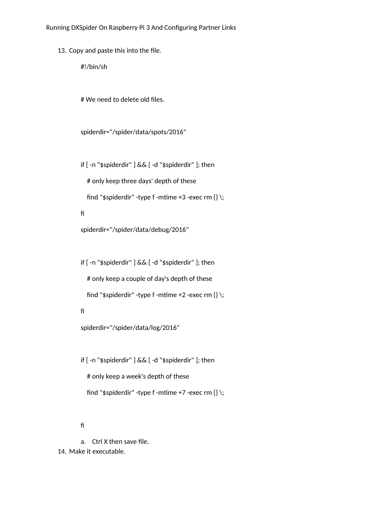13. Copy and paste this into the file.

#!/bin/sh

# We need to delete old files.

spiderdir="/spider/data/spots/2016"

if [ -n "\$spiderdir" ] && [ -d "\$spiderdir" ]; then

# only keep three days' depth of these

find "\$spiderdir" -type f -mtime +3 -exec rm  $\{\}\setminus\;$ 

fi

spiderdir="/spider/data/debug/2016"

if [ -n "\$spiderdir" ] && [ -d "\$spiderdir" ]; then

# only keep a couple of day's depth of these

find "\$spiderdir" -type f -mtime +2 -exec rm  $\{\}\setminus\;$ 

fi

spiderdir="/spider/data/log/2016"

if [ -n "\$spiderdir" ] && [ -d "\$spiderdir" ]; then # only keep a week's depth of these find "\$spiderdir" -type f -mtime +7 -exec rm  $\{\}\setminus\;$ 

fi

a. Ctrl X then save file. 14. Make it executable.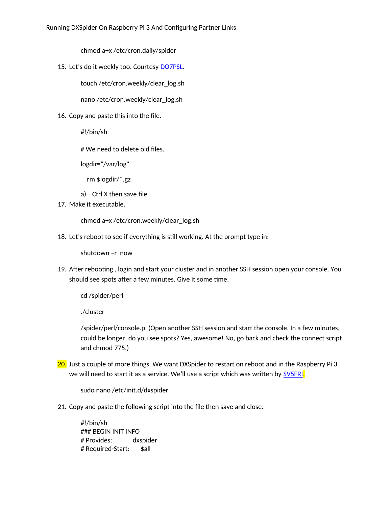chmod a+x /etc/cron.daily/spider

15. Let's do it weekly too. Courtesy [DO7PSL.](http://do7psl.de/installation-of-dxspider-on-a-raspberry-pi/)

touch /etc/cron.weekly/clear\_log.sh

nano /etc/cron.weekly/clear\_log.sh

16. Copy and paste this into the file.

#!/bin/sh

# We need to delete old files.

logdir="/var/log"

rm \$logdir/\*.gz

- a) Ctrl X then save file.
- 17. Make it executable.

chmod a+x /etc/cron.weekly/clear\_log.sh

18. Let's reboot to see if everything is still working. At the prompt type in:

shutdown –r now

19. After rebooting , login and start your cluster and in another SSH session open your console. You should see spots after a few minutes. Give it some time.

cd /spider/perl

./cluster

/spider/perl/console.pl (Open another SSH session and start the console. In a few minutes, could be longer, do you see spots? Yes, awesome! No, go back and check the connect script and chmod 775.)

20. Just a couple of more things. We want DXSpider to restart on reboot and in the Raspberry Pi 3 we will need to start it as a service. We'll use a script which was written by [SV5FRI](http://www.sv5fri.eu/?p=2292471).

sudo nano /etc/init.d/dxspider

21. Copy and paste the following script into the file then save and close.

#!/bin/sh ### BEGIN INIT INFO # Provides: dxspider # Required-Start: \$all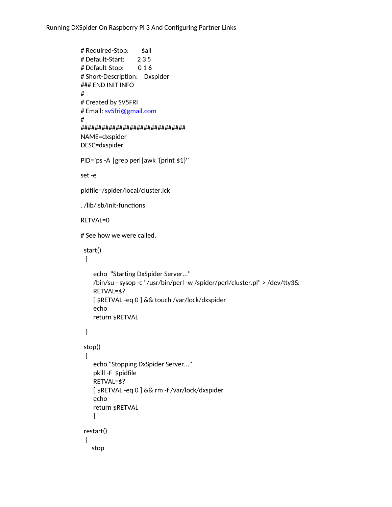Running DXSpider On Raspberry Pi 3 And Configuring Partner Links

```
# Required-Stop: $all
# Default-Start: 2 3 5
# Default-Stop: 0 1 6
# Short-Description: Dxspider
### END INIT INFO
#
# Created by SV5FRI
# Email: sv5fri@gmail.com
#
##############################
NAME=dxspider
DESC=dxspider
PID=`ps -A |grep perl|awk '{print $1}'`
set -e
pidfile=/spider/local/cluster.lck
. /lib/lsb/init-functions
RETVAL=0
# See how we were called.
  start()
  {
     echo "Starting DxSpider Server..."
     /bin/su - sysop -c "/usr/bin/perl -w /spider/perl/cluster.pl" > /dev/tty3&
     RETVAL=$?
     [ $RETVAL -eq 0 ] && touch /var/lock/dxspider
     echo
     return $RETVAL
  }
  stop()
  {
     echo "Stopping DxSpider Server..."
     pkill -F $pidfile
     RETVAL=$?
     [ $RETVAL -eq 0 ] && rm -f /var/lock/dxspider
     echo
     return $RETVAL
     }
  restart()
  {
     stop
```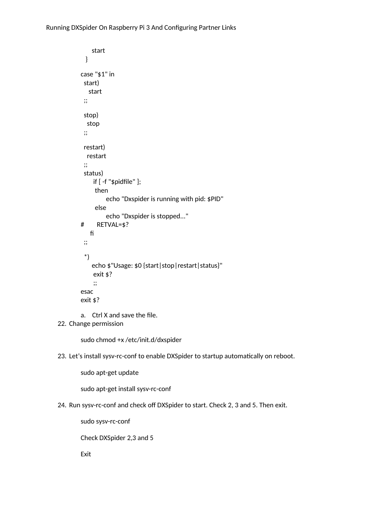```
 start
  }
case "$1" in
  start)
   start
  ;;
  stop)
   stop
  ;;
  restart)
   restart
  ;;
  status)
     if [ -f "$pidfile" ];
      then
          echo "Dxspider is running with pid: $PID"
      else
          echo "Dxspider is stopped..."
# RETVAL=$?
    fi
  ;;
  *)
     echo $"Usage: $0 {start|stop|restart|status}"
     exit $?
     ;;
esac
exit $?
```

```
a. Ctrl X and save the file.
```
## 22. Change permission

```
sudo chmod +x /etc/init.d/dxspider
```
23. Let's install sysv-rc-conf to enable DXSpider to startup automatically on reboot.

sudo apt-get update

sudo apt-get install sysv-rc-conf

24. Run sysv-rc-conf and check off DXSpider to start. Check 2, 3 and 5. Then exit.

sudo sysv-rc-conf

Check DXSpider 2,3 and 5

Exit